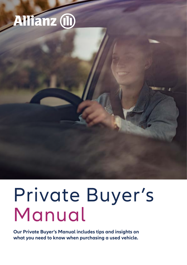# Allianz (ii)

# Private Buyer's Manual

**Our Private Buyer's Manual includes tips and insights on what you need to know when purchasing a used vehicle.**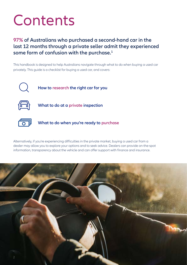# **Contents**

## **97% of Australians who purchased a second-hand car in the last 12 months through a private seller admit they experienced some form of confusion with the purchase.1**

This handbook is designed to help Australians navigate through what to do when buying a used car privately. This guide is a checklist for buying a used car, and covers:



**How to research the right car for you**



**What to do at a private inspection**



**What to do when you're ready to purchase**

Alternatively, if you're experiencing difficulties in the private market, buying a used car from a dealer may allow you to explore your options and to seek advice. Dealers can provide on-the-spot information, transparency about the vehicle and can offer support with finance and insurance.

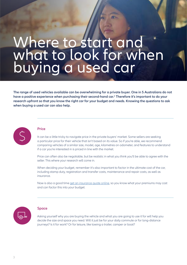## Where to start and what to look for when buying a used car

**The range of used vehicles available can be overwhelming for a private buyer. One in 5 Australians do not have a positive experience when purchasing their second-hand car.1 Therefore it's important to do your research upfront so that you know the right car for your budget and needs. Knowing the questions to ask when buying a used car can also help.**



#### **Price**

It can be a little tricky to navigate price in the private buyers' market. Some sellers are seeking a particular price for their vehicle that isn't based on its value. So if you're able, we recommend comparing vehicles of a similar size, model, age, kilometres on odometer, and features to understand if a car you're interested in is priced in line with the market.

Price can often also be negotiable, but be realistic in what you think you'll be able to agree with the seller. This where your research will come in.

When deciding your budget, remember it's also important to factor in the ultimate cost of the car, including stamp duty, registration and transfer costs, maintenance and repair costs, as well as insurance.

Now is also a good time [get an insurance quote online](https://www.allianz.com.au/car-insurance.html), so you know what your premiums may cost and can factor this into your budget.



#### **Space**

Asking yourself why you are buying the vehicle and what you are going to use it for will help you decide the size and space you need. Will it just be for your daily commute or for long-distance journeys? Is it for work? Or for leisure, like towing a trailer, camper or boat?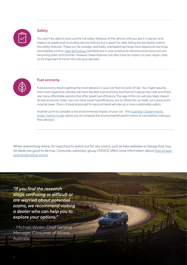

#### **Safety**

You won't be able to work out the full safety features of the vehicle until you see it in person and inspect its paperwork (including service history), but a good 'for sale' listing should clearly outline the safety features. These can be airbags, seat belts, overspeed warnings, lane departure warnings, and stability control. [New technology](https://www.allianz.com.au/car-insurance/news/new-technology-in-cars) and features in cars continue to advance and many cars are becoming safer and smarter. However these features can also have an impact on your repair costs, so it's important to factor this into your decision.



#### **Fuel economy**

Fuel economy means getting the most distance in your car from its tank of fuel. You might assume that more-expensive vehicles will have the best fuel economy, but that isn't always the case and there are many affordable options that offer great fuel efficiency. The age of the car will also likely impact its fuel economy. Older cars can have lower fuel efficiency; but to offset this, an older car's price point may be lower. One in 5 Australians opt for second-hand vehicles as a more sustainable option.

Another point to consider is the environmental impact of your car.<sup>1</sup> The <u>Australian Government's</u> [Green Vehicle Guide](https://www.greenvehicleguide.gov.au/) allows you to compare the environmental performance of cars before making a final decision.

When researching online, it's important to watch out for any scams, such as fake websites or listings that may list deals too good to be true. Consumer advocacy group CHOICE offers more information about [how to spot](https://www.choice.com.au/electronics-and-technology/internet/internet-privacy-and-safety/articles/online-scams-and-how-to-avoid-them?gclid=EAIaIQobChMIqcDC57Da8wIVyZ1LBR0K3gvVEAAYASAAEgJrdPD_BwE )  [and avoid online scams](https://www.choice.com.au/electronics-and-technology/internet/internet-privacy-and-safety/articles/online-scams-and-how-to-avoid-them?gclid=EAIaIQobChMIqcDC57Da8wIVyZ1LBR0K3gvVEAAYASAAEgJrdPD_BwE ).

*"If you fnd the research stage confusing or difcult or are worried about potential scams, we recommend visiting a dealer who can help you to explore your options."* 

– Michael Winter, Chief General Manager, Consumer of Allianz Australia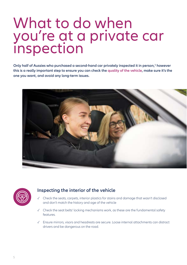## What to do when you're at a private car inspection

Only half of Aussies who purchased a second-hand car privately inspected it in person,<sup>1</sup> however **this is a really important step to ensure you can check the quality of the vehicle, make sure it's the one you want, and avoid any long-term issues.** 





## **Inspecting the interior of the vehicle**

- ✓ Check the seats, carpets, interior plastics for stains and damage that wasn't disclosed and don't match the history and age of the vehicle
- ✓ Check the seat belts' locking mechanisms work, as these are the fundamental safety features.
- ✓ Ensure mirrors, visors and headrests are secure. Loose internal attachments can distract drivers and be dangerous on the road.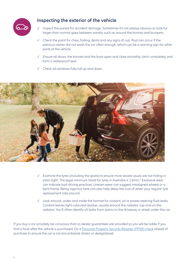

### **Inspecting the exterior of the vehicle**

- ✓ Inspect the panels for accident damage. Sometimes it's not always obvious so look for larger than normal gaps between panels, such as around the bonnet and bumpers.
- ✓ Check the paint for chips, fading, dents and any signs of rust. Rust can occur if the previous owner did not wash the car often enough, which can be a warning sign for other parts of the vehicle.
- ✓ Ensure all doors, the bonnet and the boot open and close smoothly, latch completely and form a waterproof seal.
- ✓ Check all windows fully roll up and down.



- ✓ Examine the tyres (including the spare) to ensure more severe issues are not hiding in plain sight. The legal minimum tread for tyres in Australia is 1.6mm.<sup>2</sup> Excessive wear can indicate bad driving practices. Uneven wear can suggest misaligned wheels or a bent frame. Being vigorous here can also help delay the cost of when your regular tyre replacement rolls around.
- ✓ Look around, under and inside the bonnet for coolant, oil or power-steering fuid leaks. Coolant leaves light-coloured residue, usually around the radiator cap and on the radiator. You'll often identify oil leaks from stains on the driveway or street under the car.

If you buy a car privately, be conscious that no dealer guarantees are provided so you will be liable if you find a fault after the vehicle is purchased. Do a [Personal Property Security Register \(PPSR\) check a](www.ppsr.gov.au)head of purchase to ensure the car is not encumbered, stolen or deregistered.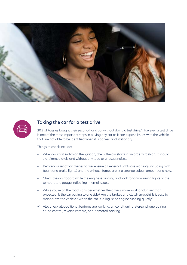



### **Taking the car for a test drive**

30% of Aussies bought their second-hand car without doing a test drive. $^1$  However, a test drive is one of the most important steps in buying any car as it can expose issues with the vehicle that are not able to be identified when it is parked and stationary.

Things to check include:

- ✓ When you first switch on the ignition, check the car starts in an orderly fashion. It should start immediately and without any loud or unusual noises.
- ✓ Before you set off on the test drive, ensure all external lights are working (including high beam and brake lights) and the exhaust fumes aren't a strange colour, amount or a noise.
- ✓ Check the dashboard while the engine is running and look for any warning lights or the temperature gauge indicating internal issues.
- ✓ While you're on the road, consider whether the drive is more work or clunkier than expected. Is the car pulling to one side? Are the brakes and clutch smooth? Is it easy to manoeuvre the vehicle? When the car is idling is the engine running quietly?
- ✓ Also check all additional features are working: air conditioning, stereo, phone pairing, cruise control, reverse camera, or automated parking.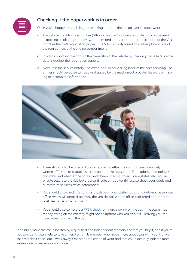

## **Checking if the paperwork is in order**

Once you're happy the car is in good working order, it's time to go over its paperwork.

- $\sqrt{\phantom{a}}$  The vehicle identification number (VIN) is a unique 17-character code that can be used in tracking recalls, registrations, warranties and thefts. It's important to check that the VIN matches the car's registration papers. The VIN is usually found on a silver plate in one of the rear corners of the engine compartment.
- ✓ It's also important to establish the ownership of the vehicle by checking the seller's licence details against the registration papers.
- ✓ Next up is the service history. The owner should have a log book of the car's servicing. The entries should be date-stamped and signed by the mechanical provider. Be wary of missing or incomplete information.



- ✓ There should also be a record of any repairs, whether the car has been previously written off (listed as a total loss and cannot be re-registered), if the odometer reading is accurate, and whether the car has ever been listed as stolen. Some states also require private sellers to provide buyers a certificate of roadworthiness, so check your roads and automotive services office beforehand
- ✓ You should also check the car's history through your state's roads and automotive services office, which will detail if and why the vehicle was written off, its registered operators and past use, i.e. as a taxi or hire car.
- ✓ You should also complete a [PPSR check](https://www.ppsr.gov.au/) for fnance owing on the car. If the owner has money owing on the car they might not be upfront with you about it – leaving you, the new owner to take on the debt.

If possible, have the car inspected by a qualified and independent mechanic before you buy it, and if you're not confdent, it can help to take a friend or family member who knows more about cars with you. If any of the tests don't check out – walk away. One small indication of wear and tear could actually indicate more extensive (and expensive) damage.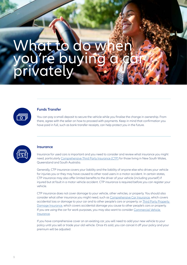## What to do when you're buying a car privately



### **Funds Transfer**

You can pay a small deposit to secure the vehicle while you finalise the change in ownership. From there, agree with the seller on how to proceed with payments. Keep in mind that confirmation you have paid in full, such as bank transfer receipts, can help protect you in the future.



#### **Insurance**

Insurance for used cars is important and you need to consider and review what insurance you might need, particularly [Comprehensive Third Party Insurance \(CTP\)](https://www.allianz.com.au/ctp-insurance/) for those living in New South Wales, Queensland and South Australia.

Generally, CTP insurance covers your liability and the liability of anyone else who drives your vehicle for injuries you or they may have caused to other road users in a motor accident. In certain states, CTP insurance may also offer limited benefits to the driver of your vehicle (including yourself) if injured but at fault in a motor vehicle accident. CTP insurance is required before you can register your vehicle.

CTP insurance does not cover damage to your vehicle, other vehicles, or property. You should also consider what other insurance you might need, such as [Comprehensive Car Insurance](https://www.allianz.com.au/car-insurance/comprehensive-car-insurance.html), which covers accidental loss or damage to your car and to other people's cars or property; or [Third Party Property](https://www.allianz.com.au/car-insurance/third-party-property-damage-car-insurance.html)  [Damage Insurance,](https://www.allianz.com.au/car-insurance/third-party-property-damage-car-insurance.html) which covers accidental damage you cause to other people's cars or property. If you are using the car for work purposes, you may also want to consider [Commercial Vehicle](https://www.allianz.com.au/business/business-insurance/commercial-motor-vehicle/)  [Insurance.](https://www.allianz.com.au/business/business-insurance/commercial-motor-vehicle/)

If you have comprehensive cover on an existing car, you will need to add your new vehicle to your policy until you sell or trade your old vehicle. Once it's sold, you can cancel it off your policy and your premium will be adjusted.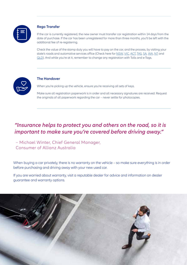

#### **Rego Transfer**

If the car is currently registered, the new owner must transfer car registration within 14 days from the date of purchase. If the car has been unregistered for more than three months, you'll be left with the additional fee of re-registering.

Check the value of the stamp duty you will have to pay on the car, and the process, by visiting your state's roads and automotive services office (Check here for [NSW,](https://www.service.nsw.gov.au/services/driving-and-transport) [VIC](https://www.vicroads.vic.gov.au/), [ACT,](https://www.accesscanberra.act.gov.au/s/transport) [TAS,](https://www.transport.tas.gov.au/) [SA](https://www.sa.gov.au/topics/driving-and-transport), [WA](https://www.transport.wa.gov.au/index.asp), [NT](https://nt.gov.au/driving) and [QLD\)](https://www.qld.gov.au/transport). And while you're at it, remember to change any registration with Tolls and e-Tags.



### **The Handover**

When you're picking up the vehicle, ensure you're receiving all sets of keys.

Make sure all registration paperwork is in order and all necessary signatures are received. Request the originals of all paperwork regarding the car – never settle for photocopies.

## *"Insurance helps to protect you and others on the road, so it is important to make sure you're covered before driving away."*

– Michael Winter, Chief General Manager, Consumer of Allianz Australia

When buying a car privately, there is no warranty on the vehicle – so make sure everything is in order before purchasing and driving away with your new used car.

If you are worried about warranty, visit a reputable dealer for advice and information on dealer guarantee and warranty options.